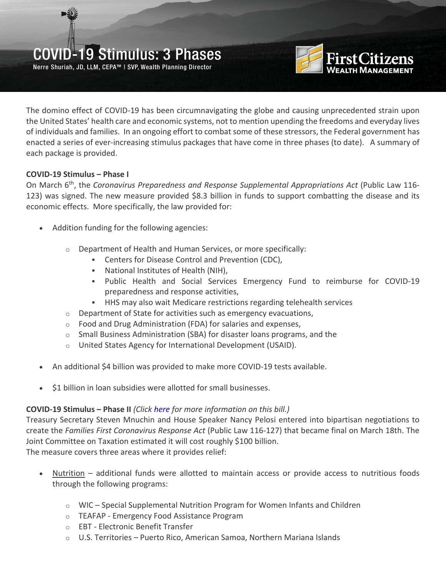## COVID-19 Stimulus: 3 Phases

Nerre Shuriah, JD, LLM, CEPA™ | SVP, Wealth Planning Director



The domino effect of COVID-19 has been circumnavigating the globe and causing unprecedented strain upon the United States' health care and economic systems, not to mention upending the freedoms and everyday lives of individuals and families. In an ongoing effort to combat some of these stressors, the Federal government has enacted a series of ever-increasing stimulus packages that have come in three phases (to date). A summary of each package is provided.

### **COVID-19 Stimulus – Phase I**

On March 6th, the *Coronavirus Preparedness and Response Supplemental Appropriations Act* (Public Law 116- 123) was signed. The new measure provided \$8.3 billion in funds to support combatting the disease and its economic effects. More specifically, the law provided for:

- Addition funding for the following agencies:
	- o Department of Health and Human Services, or more specifically:
		- Centers for Disease Control and Prevention (CDC),
		- National Institutes of Health (NIH),
		- Public Health and Social Services Emergency Fund to reimburse for COVID-19 preparedness and response activities,
		- HHS may also wait Medicare restrictions regarding telehealth services
	- $\circ$  Department of State for activities such as emergency evacuations,
	- o Food and Drug Administration (FDA) for salaries and expenses,
	- $\circ$  Small Business Administration (SBA) for disaster loans programs, and the
	- o United States Agency for International Development (USAID).
- An additional \$4 billion was provided to make more COVID-19 tests available.
- \$1 billion in loan subsidies were allotted for small businesses.

## **COVID-19 Stimulus – Phase II** *(Click [here](https://www.firstcitizens.com/pdfs/Coronavirus-Tax-Relief-Summary.pdf) for more information on this bill.)*

Treasury Secretary Steven Mnuchin and House Speaker Nancy Pelosi entered into bipartisan negotiations to create the *Families First Coronavirus Response Act* (Public Law 116-127) that became final on March 18th. The Joint Committee on Taxation estimated it will cost roughly \$100 billion. The measure covers three areas where it provides relief:

- Nutrition additional funds were allotted to maintain access or provide access to nutritious foods through the following programs:
	- $\circ$  WIC Special Supplemental Nutrition Program for Women Infants and Children
	- o TEAFAP Emergency Food Assistance Program
	- o EBT Electronic Benefit Transfer
	- $\circ$  U.S. Territories Puerto Rico, American Samoa, Northern Mariana Islands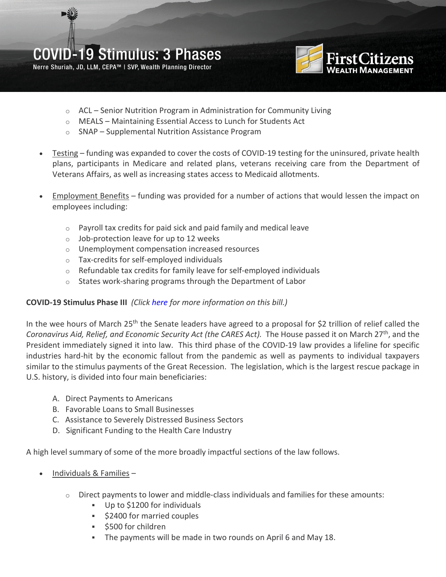Nerre Shuriah, JD, LLM, CEPA™ | SVP, Wealth Planning Director



- o ACL Senior Nutrition Program in Administration for Community Living
- o MEALS Maintaining Essential Access to Lunch for Students Act
- o SNAP Supplemental Nutrition Assistance Program
- Testing funding was expanded to cover the costs of COVID-19 testing for the uninsured, private health plans, participants in Medicare and related plans, veterans receiving care from the Department of Veterans Affairs, as well as increasing states access to Medicaid allotments.
- Employment Benefits funding was provided for a number of actions that would lessen the impact on employees including:
	- $\circ$  Payroll tax credits for paid sick and paid family and medical leave
	- $\circ$  Job-protection leave for up to 12 weeks
	- o Unemployment compensation increased resources
	- o Tax-credits for self-employed individuals
	- o Refundable tax credits for family leave for self-employed individuals
	- o States work-sharing programs through the Department of Labor

#### **COVID-19 Stimulus Phase III** *(Click [here](https://www.firstcitizens.com/pdfs/CARES-Act-Stimulus-Summary.pdf) for more information on this bill.)*

In the wee hours of March 25<sup>th</sup> the Senate leaders have agreed to a proposal for \$2 trillion of relief called the *Coronavirus Aid, Relief, and Economic Security Act (the CARES Act).* The House passed it on March 27th, and the President immediately signed it into law. This third phase of the COVID-19 law provides a lifeline for specific industries hard-hit by the economic fallout from the pandemic as well as payments to individual taxpayers similar to the stimulus payments of the Great Recession. The legislation, which is the largest rescue package in U.S. history, is divided into four main beneficiaries:

- A. Direct Payments to Americans
- B. Favorable Loans to Small Businesses
- C. Assistance to Severely Distressed Business Sectors
- D. Significant Funding to the Health Care Industry

A high level summary of some of the more broadly impactful sections of the law follows.

- Individuals & Families
	- $\circ$  Direct payments to lower and middle-class individuals and families for these amounts:
		- Up to \$1200 for individuals
		- **52400 for married couples**
		- $\overline{\phantom{a}}$  \$500 for children
		- The payments will be made in two rounds on April 6 and May 18.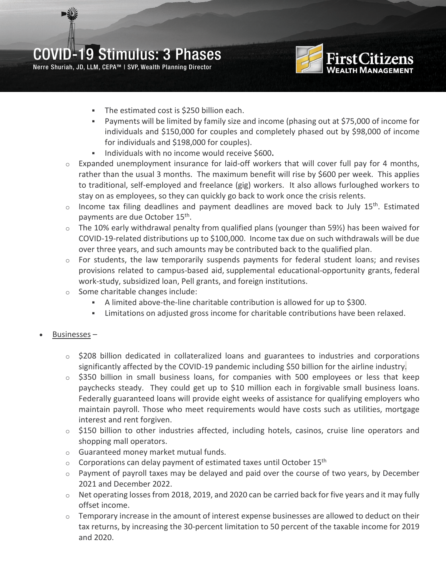# COVID-19 Stimulus: 3 Phases

Nerre Shuriah, JD, LLM, CEPA™ | SVP, Wealth Planning Director



- The estimated cost is \$250 billion each.
- Payments will be limited by family size and income (phasing out at \$75,000 of income for individuals and \$150,000 for couples and completely phased out by \$98,000 of income for individuals and \$198,000 for couples).
- Individuals with no income would receive \$600**.**
- $\circ$  Expanded unemployment insurance for laid-off workers that will cover full pay for 4 months, rather than the usual 3 months. The maximum benefit will rise by \$600 per week. This applies to traditional, self-employed and freelance (gig) workers. It also allows furloughed workers to stay on as employees, so they can quickly go back to work once the crisis relents.
- $\circ$  Income tax filing deadlines and payment deadlines are moved back to July 15<sup>th</sup>. Estimated payments are due October 15th.
- $\circ$  The 10% early withdrawal penalty from qualified plans (younger than 59%) has been waived for COVID-19-related distributions up to \$100,000. Income tax due on such withdrawals will be due over three years, and such amounts may be contributed back to the qualified plan.
- $\circ$  For students, the law temporarily suspends payments for federal student loans; and revises provisions related to campus-based aid, supplemental educational-opportunity grants, federal work-study, subsidized loan, Pell grants, and foreign institutions.
- o Some charitable changes include:
	- A limited above-the-line charitable contribution is allowed for up to \$300.
	- Limitations on adjusted gross income for charitable contributions have been relaxed.
- Businesses
	- $\circ$  \$208 billion dedicated in collateralized loans and guarantees to industries and corporations significantly affected by the COVID-19 pandemic including \$50 billion for the airline industry.
	- $\circ$  \$350 billion in small business loans, for companies with 500 employees or less that keep paychecks steady. They could get up to \$10 million each in forgivable small business loans. Federally guaranteed loans will provide eight weeks of assistance for qualifying employers who maintain payroll. Those who meet requirements would have costs such as utilities, mortgage interest and rent forgiven.
	- $\circ$  \$150 billion to other industries affected, including hotels, casinos, cruise line operators and shopping mall operators.
	- o Guaranteed money market mutual funds.
	- $\circ$  Corporations can delay payment of estimated taxes until October 15<sup>th</sup>
	- $\circ$  Payment of payroll taxes may be delayed and paid over the course of two years, by December 2021 and December 2022.
	- $\circ$  Net operating losses from 2018, 2019, and 2020 can be carried back for five years and it may fully offset income.
	- $\circ$  Temporary increase in the amount of interest expense businesses are allowed to deduct on their tax returns, by increasing the 30-percent limitation to 50 percent of the taxable income for 2019 and 2020.